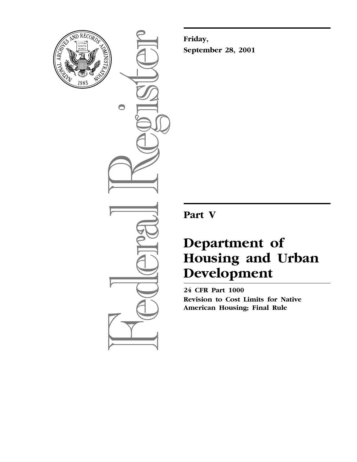

 $\bigcirc$ 

**Friday, September 28, 2001**

**Part V**

# **Department of Housing and Urban Development**

**24 CFR Part 1000 Revision to Cost Limits for Native American Housing; Final Rule**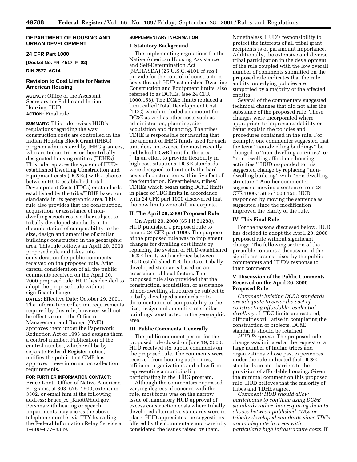# **DEPARTMENT OF HOUSING AND URBAN DEVELOPMENT**

# **24 CFR Part 1000**

**[Docket No. FR–4517–F–02]**

**RIN 2577–AC14**

# **Revision to Cost Limits for Native American Housing**

**AGENCY:** Office of the Assistant Secretary for Public and Indian Housing, HUD. **ACTION:** Final rule.

**SUMMARY:** This rule revises HUD's regulations regarding the way construction costs are controlled in the Indian Housing Block Grant (IHBG) program administered by IHBG grantees, who are Indian tribes or their tribally designated housing entities (TDHEs). This rule replaces the system of HUDestablished Dwelling Construction and Equipment costs (DC&Es) with a choice between HUD-established Total Development Costs (TDCs) or standards established by the tribe/TDHE based on standards in its geographic area. This rule also provides that the construction, acquisition, or assistance of nondwelling structures is either subject to tribally developed standards or to documentation of comparability to the size, design and amenities of similar buildings constructed in the geographic area. This rule follows an April 20, 2000 proposed rule and takes into consideration the public comments received on the proposed rule. After careful consideration of all the public comments received on the April 20, 2000 proposed rule, HUD has decided to adopt the proposed rule without significant change.

**DATES:** Effective Date: October 29, 2001. The information collection requirements required by this rule, however, will not be effective until the Office of Management and Budget (OMB) approves them under the Paperwork Reduction Act of 1995 and assigns them a control number. Publication of the control number, which will be by separate **Federal Register** notice, notifies the public that OMB has approved these information collection requirements.

## **FOR FURTHER INFORMATION CONTACT:**

Bruce Knott, Office of Native American Programs, at 303–675–1600, extension 3302, or email him at the following address: Bruce\_A.\_Knott@hud.gov. Persons with hearing or speech impairments may access the above telephone number via TTY by calling the Federal Information Relay Service at 1–800–877–8339.

# **SUPPLEMENTARY INFORMATION**

# **I. Statutory Background**

The implementing regulations for the Native American Housing Assistance and Self-Determination Act (NAHASDA) (25 U.S.C. 4101 *et seq.*) provide for the control of construction costs through HUD-established Dwelling Construction and Equipment limits, also referred to as DC&Es. (see 24 CFR 1000.156). The DC&E limits replaced a limit called Total Development Cost (TDC) which included an amount for DC&E as well as other costs such as administration, planning, site acquisition and financing. The tribe/ TDHE is responsible for insuring that the amount of IHBG funds used for each unit does not exceed the most recently published DC&E limit for the area.

In an effort to provide flexibility in high cost situations, DC&E standards were designed to limit only the hard costs of construction within five feet of the foundation. Nevertheless, tribes/ TDHEs which began using DC&E limits in place of TDC limits in accordance with 24 CFR part 1000 discovered that the new limits were still inadequate.

#### **II. The April 20, 2000 Proposed Rule**

On April 20, 2000 (65 FR 21288), HUD published a proposed rule to amend 24 CFR part 1000. The purpose of the proposed rule was to implement changes for dwelling cost limits by replacing the system of HUD-established DC&E limits with a choice between HUD-established TDC limits or tribally developed standards based on an assessment of local factors. The proposed rule also provided that the construction, acquisition, or assistance of non-dwelling structures be subject to tribally developed standards or to documentation of comparability to the size, design and amenities of similar buildings constructed in the geographic area.

#### **III. Public Comments, Generally**

The public comment period for the proposed rule closed on June 19, 2000. HUD received six public comments on the proposed rule. The comments were received from housing authorities, affiliated organizations and a law firm representing a municipality participating in the IHBG program.

Although the commenters expressed varying degrees of concern with the rule, most focus was on the narrow issue of mandatory HUD approval of excess construction costs where tribally developed alternative standards were in place. HUD appreciates the suggestions offered by the commenters and carefully considered the issues raised by them.

Nonetheless, HUD's responsibility to protect the interests of all tribal grant recipients is of paramount importance. Additionally, the extensive and diverse tribal participation in the development of the rule coupled with the low overall number of comments submitted on the proposed rule indicates that the rule and its underlying policies are supported by a majority of the affected entities.

Several of the commenters suggested technical changes that did not alter the substance of the proposed rule. These changes were incorporated where appropriate to improve readability or better explain the policies and procedures contained in the rule. For example, one commenter suggested that the term ''non-dwelling buildings'' be changed to ''non-dwelling activities'' or ''non-dwelling affordable housing activities.'' HUD responded to this suggested change by replacing ''nondwelling building'' with ''non-dwelling structure.'' Another commenter suggested moving a sentence from 24 CFR 1000.158 to 1000.156. HUD responded by moving the sentence as suggested since the modification improved the clarity of the rule.

#### **IV. This Final Rule**

For the reasons discussed below, HUD has decided to adopt the April 20, 2000 proposed rule without significant change. The following section of the preamble contains a discussion of the significant issues raised by the public commenters and HUD's response to their comments.

# **V. Discussion of the Public Comments Received on the April 20, 2000 Proposed Rule**

*Comment: Existing DC&E standards are adequate to cover the cost of constructing affordable residential dwellings.* If TDC limits are restored, difficulties will arise in completing the construction of projects. DC&E standards should be retained.

*HUD Response:* The proposed rule change was initiated at the request of a large number of Indian tribes and organizations whose past experiences under the rule indicated that DC&E standards created barriers to the provision of affordable housing. Given the minimal comment on this proposed rule, HUD believes that the majority of tribes and TDHEs agree.

*Comment: HUD should allow participants to continue using DC&E standards rather than requiring them to choose between published TDCs or tribally developed standards since TDCs are inadequate in areas with particularly high infrastructure costs.* If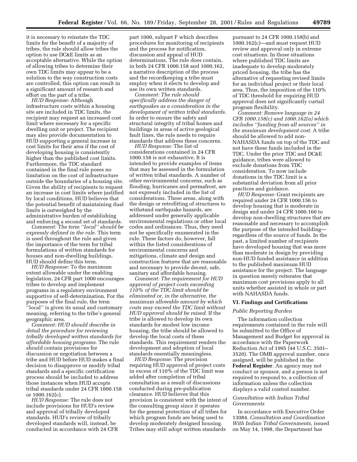it is necessary to reinstate the TDC limits for the benefit of a majority of tribes, the rule should allow tribes the option to use DC&E limits as an acceptable alternative. While the option of allowing tribes to determine their own TDC limits may appear to be a solution to the way construction costs are controlled, this option can result in a significant amount of research and effort on the part of a tribe.

*HUD Response:* Although infrastructure costs within a housing site are included in TDC limits, the recipient may request an increased cost limit where necessary for a specific dwelling unit or project. The recipient may also provide documentation to HUD supporting a general increase in cost limits for their area if the cost of developing housing is consistently higher than the published cost limits. Furthermore, the TDC standard contained in the final rule poses no limitation on the cost of infrastructure outside the boundaries of a housing site. Given the ability of recipients to request an increase in cost limits where justified by local conditions, HUD believes that the potential benefit of maintaining dual limits is outweighed by the administrative burden of establishing and enforcing a second set of standards.

*Comment: The term ''local'' should be expressly defined in the rule.* This term is used throughout the rule and given the importance of the term for tribal formulations of written standards for houses and non-dwelling buildings, HUD should define this term.

*HUD Response:* To the maximum extent allowable under the enabling legislation, 24 CFR part 1000 encourages tribes to develop and implement programs in a regulatory environment supportive of self-determination. For the purposes of the final rule, the term ''local'' is given its usual and customary meaning, referring to the tribe's general geographic area.

*Comment: HUD should describe in detail the procedure for reviewing tribally developed written standards for affordable housing programs.* The rule should contain provisions for discussion or negotiation between a tribe and HUD before HUD makes a final decision to disapprove or modify tribal standards and a specific certification process should be included to address those instances when HUD accepts tribal standards under 24 CFR 1000.158 or 1000.162(c).

*HUD Response:* The rule does not include provisions for HUD's review and approval of tribally developed standards. HUD's review of tribally developed standards will, instead, be conducted in accordance with 24 CFR part 1000, subpart F which describes procedures for monitoring of recipients and the process for notification, discussion and appeal of HUD determinations. The rule does contain, in both 24 CFR 1000.158 and 1000.162, a narrative description of the process and the recordkeeping a tribe must employ when it elects to develop and use its own written standards.

*Comment: The rule should specifically address the danger of earthquakes as a consideration in the development of written tribal standards.* In order to ensure the safety and structural integrity of tribal homes and buildings in areas of active geological fault lines, the rule needs to require standards that address these concerns.

*HUD Response:* The list of considerations contained in 24 CFR 1000.158 is not exhaustive. It is intended to provide examples of items that may be assessed in the formulation of written tribal standards. A number of other environmental concerns, such as flooding, hurricanes and permafrost, are not expressly included in the list of considerations. These areas, along with the design or retrofitting of structures to withstand earthquake hazards, are addressed under generally applicable environmental regulations or other local codes and ordinances. Thus, they need not be specifically enumerated in the rule. These factors do, however, fall within the listed considerations of environmental concerns and mitigations, climate and design and construction features that are reasonable and necessary to provide decent, safe, sanitary and affordable housing.

*Comment: The requirement for HUD approval of project costs exceeding 110% of the TDC limit should be eliminated or, in the alternative, the maximum allowable amount by which costs may exceed the TDC limit without HUD approval should be raised.* If the tribe is allowed to develop its own standards for modest low income housing, the tribe should be allowed to develop the local costs of these standards. This requirement renders the development and adoption of local standards essentially meaningless.

*HUD Response:* The provision requiring HUD approval of project costs in excess of 110% of the TDC limit was added after completion of tribal consultation as a result of discussions conducted during pre-publication clearance. HUD believes that this provision is consistent with the intent of the consulting group since it operates for the general protection of all tribes for which program funds are being used to develop moderately designed housing. Tribes may still adopt written standards

pursuant to 24 CFR 1000.158(b) and 1000.162(c)—and must request HUD review and approval only in extreme cost situations. In those situations where published TDC limits are inadequate to develop moderately priced housing, the tribe has the alternative of requesting revised limits for an individual project or their local area. Thus, the imposition of the 110% of TDC threshold for requiring HUD approval does not significantly curtail program flexibility.

*Comment: Remove language in 24 CFR 1000.158(c) and 1000.162(a) which includes ''funding from all sources'' in the maximum development cost.* A tribe should be allowed to add non-NAHASDA funds on top of the TDC and not have these funds included in the TDC. Under the prior TDC and DC&E guidance, tribes were allowed to exclude donations from TDC consideration. To now include donations in the TDC limit is a substantial deviation from all prior practices and guidance.

*HUD Response:* Grant recipients are required under 24 CFR 1000.156 to develop housing that is moderate in design and under 24 CFR 1000.160 to develop non-dwelling structures that are reasonable and necessary to accomplish the purpose of the intended building regardless of the source of funds. In the past, a limited number of recipients have developed housing that was more than moderate in design by providing non-HUD funded assistance in addition to the published maximum HUD assistance for the project. The language in question merely reiterates that maximum cost provisions apply to all units whether assisted in whole or part with NAHASDA funds.

#### **VI. Findings and Certifications**

## *Public Reporting Burden*

The information collection requirements contained in the rule will be submitted to the Office of Management and Budget for approval in accordance with the Paperwork Reduction Act of 1995 (44 U.S.C. 3501– 3520). The OMB approval number, once assigned, will be published in the **Federal Register**. An agency may not conduct or sponsor, and a person is not required to respond to, a collection of information unless the collection displays a valid control number.

# *Consultation with Indian Tribal Governments*

In accordance with Executive Order 13084, *Consultation and Coordination With Indian Tribal Governments*, issued on May 14, 1998, the Department has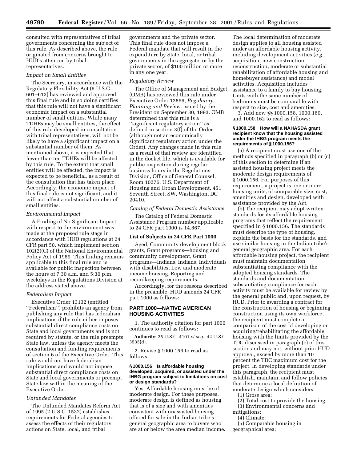consulted with representatives of tribal governments concerning the subject of this rule. As described above, the rule originated from concerns brought to HUD's attention by tribal representatives.

#### *Impact on Small Entities*

The Secretary, in accordance with the Regulatory Flexibility Act (5 U.S.C. 601–612) has reviewed and approved this final rule and in so doing certifies that this rule will not have a significant economic impact on a substantial number of small entities. While many TDHEs may be small entities, the effect of this rule developed in consultation with tribal representatives, will not be likely to have a significant impact on a substantial number of them. As mentioned above, it is expected that fewer than ten TDHEs will be affected by this rule. To the extent that small entities will be affected, the impact is expected to be beneficial, as a result of the consultation that has taken place. Accordingly, the economic impact of this final rule is not significant, and it will not affect a substantial number of small entities.

## *Environmental Impact*

A Finding of No Significant Impact with respect to the environment was made at the proposed rule stage in accordance with HUD regulations at 24 CFR part 50, which implement section 102(2)(C) of the National Environmental Policy Act of 1969. This finding remains applicable to this final rule and is available for public inspection between the hours of 7:30 a.m. and 5:30 p.m. weekdays in the Regulations Division at the address stated above.

## *Federalism Impact*

Executive Order 13132 (entitled ''Federalism'') prohibits an agency from publishing any rule that has federalism implications if the rule either imposes substantial direct compliance costs on State and local governments and is not required by statute, or the rule preempts State law, unless the agency meets the consultation and funding requirements of section 6 of the Executive Order. This rule would not have federalism implications and would not impose substantial direct compliance costs on State and local governments or preempt State law within the meaning of the Executive Order.

# *Unfunded Mandates*

The Unfunded Mandates Reform Act of 1995 (2 U.S.C. 1532) establishes requirements for Federal agencies to assess the effects of their regulatory actions on State, local, and tribal

governments and the private sector. This final rule does not impose a Federal mandate that will result in the expenditure by State, local, or tribal governments in the aggregate, or by the private sector, of \$100 million or more in any one year.

#### *Regulatory Review*

The Office of Management and Budget (OMB) has reviewed this rule under Executive Order 12866, *Regulatory Planning and Review,* issued by the President on September 30, 1993. OMB determined that this rule is a ''significant regulatory action'' as defined in section 3(f) of the Order (although not an economically significant regulatory action under the Order). Any changes made in this rule as a result of that review are identified in the docket file, which is available for public inspection during regular business hours in the Regulations Division, Office of General Counsel, Room 10276, U.S. Department of Housing and Urban Development, 451 Seventh Street, SW, Washington, DC 20410.

## *Catalog of Federal Domestic Assistance*

The Catalog of Federal Domestic Assistance Program number applicable to 24 CFR part 1000 is 14.867.

## **List of Subjects in 24 CFR Part 1000**

Aged, Community development block grants, Grant programs—housing and community development, Grant programs—Indians, Indians, Individuals with disabilities, Low and moderate income housing, Reporting and recordkeeping requirements.

Accordingly, for the reasons described in the preamble, HUD amends 24 CFR part 1000 as follows:

# **PART 1000—NATIVE AMERICAN HOUSING ACTIVITIES**

1. The authority citation for part 1000 continues to read as follows:

**Authority:** 25 U.S.C. 4101 *et seq.*; 42 U.S.C. 3535(d).

2. Revise § 1000.156 to read as follows:

# **§ 1000.156 Is affordable housing developed, acquired, or assisted under the IHBG program subject to limitations on cost or design standards?**

Yes. Affordable housing must be of moderate design. For these purposes, moderate design is defined as housing that is of a size and with amenities consistent with unassisted housing offered for sale in the Indian tribe's general geographic area to buyers who are at or below the area median income.

The local determination of moderate design applies to all housing assisted under an affordable housing activity, including development activities (*e.g.,* acquisition, new construction, reconstruction, moderate or substantial rehabilitation of affordable housing and homebuyer assistance) and model activities. Acquisition includes assistance to a family to buy housing. Units with the same number of bedrooms must be comparable with respect to size, cost and amenities.

3. Add new §§ 1000.158, 1000.160, and 1000.162 to read as follows:

# **§ 1000.158 How will a NAHASDA grant recipient know that the housing assisted under the IHBG program meets the requirements of § 1000.156?**

(a) A recipient must use one of the methods specified in paragraph (b) or (c) of this section to determine if an assisted housing project meets the moderate design requirements of § 1000.156. For purposes of this requirement, a project is one or more housing units, of comparable size, cost, amenities and design, developed with assistance provided by the Act.

(b) The recipient may adopt written standards for its affordable housing programs that reflect the requirement specified in § 1000.156. The standards must describe the type of housing, explain the basis for the standards, and use similar housing in the Indian tribe's general geographic area. For each affordable housing project, the recipient must maintain documentation substantiating compliance with the adopted housing standards. The standards and documentation substantiating compliance for each activity must be available for review by the general public and, upon request, by HUD. Prior to awarding a contract for the construction of housing or beginning construction using its own workforce, the recipient must complete a comparison of the cost of developing or acquiring/rehabilitating the affordable housing with the limits provided by the TDC discussed in paragraph (c) of this section and may not, without prior HUD approval, exceed by more than 10 percent the TDC maximum cost for the project. In developing standards under this paragraph, the recipient must establish, maintain, and follow policies that determine a local definition of moderate design which considers:

(1) Gross area;

- (2) Total cost to provide the housing;
- (3) Environmental concerns and mitigations;
	- (4) Climate;

(5) Comparable housing in geographical area;